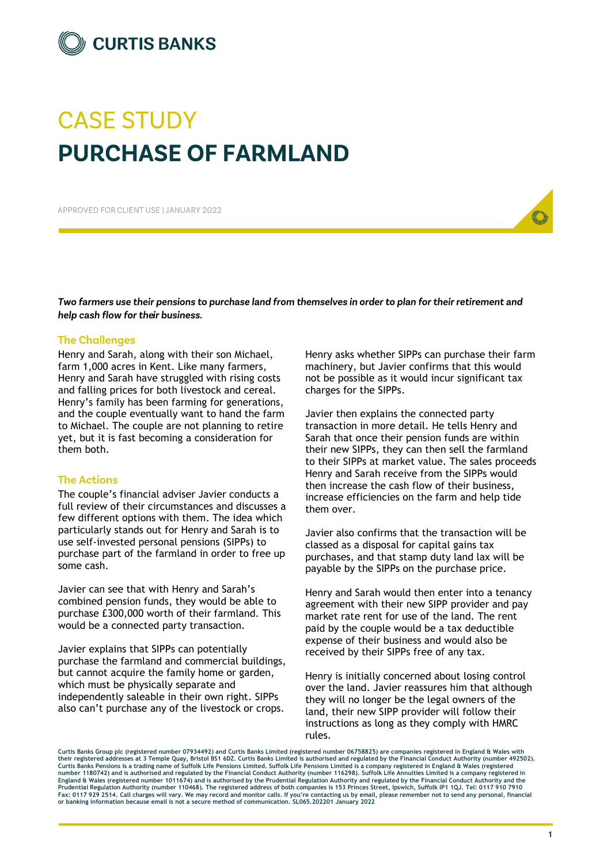

# **CASE STUDY PURCHASE OF FARMLAND**

APPROVED FOR CLIENT USE I JANUARY 2022

Two farmers use their pensions to purchase land from themselves in order to plan for their retirement and help cash flow for their business.

# **The Challenges**

Henry and Sarah, along with their son Michael, farm 1,000 acres in Kent. Like many farmers, Henry and Sarah have struggled with rising costs and falling prices for both livestock and cereal. Henry's family has been farming for generations, and the couple eventually want to hand the farm to Michael. The couple are not planning to retire yet, but it is fast becoming a consideration for them both.

# **The Actions**

The couple's financial adviser Javier conducts a full review of their circumstances and discusses a few different options with them. The idea which particularly stands out for Henry and Sarah is to use self-invested personal pensions (SIPPs) to purchase part of the farmland in order to free up some cash.

Javier can see that with Henry and Sarah's combined pension funds, they would be able to purchase £300,000 worth of their farmland. This would be a connected party transaction.

Javier explains that SIPPs can potentially purchase the farmland and commercial buildings, but cannot acquire the family home or garden, which must be physically separate and independently saleable in their own right. SIPPs also can't purchase any of the livestock or crops.

Henry asks whether SIPPs can purchase their farm machinery, but Javier confirms that this would not be possible as it would incur significant tax charges for the SIPPs.

Javier then explains the connected party transaction in more detail. He tells Henry and Sarah that once their pension funds are within their new SIPPs, they can then sell the farmland to their SIPPs at market value. The sales proceeds Henry and Sarah receive from the SIPPs would then increase the cash flow of their business, increase efficiencies on the farm and help tide them over.

Javier also confirms that the transaction will be classed as a disposal for capital gains tax purchases, and that stamp duty land lax will be payable by the SIPPs on the purchase price.

Henry and Sarah would then enter into a tenancy agreement with their new SIPP provider and pay market rate rent for use of the land. The rent paid by the couple would be a tax deductible expense of their business and would also be received by their SIPPs free of any tax.

Henry is initially concerned about losing control over the land. Javier reassures him that although they will no longer be the legal owners of the land, their new SIPP provider will follow their instructions as long as they comply with HMRC rules.

**Curtis Banks Group plc (registered number 07934492) and Curtis Banks Limited (registered number 06758825) are companies registered in England & Wales with their registered addresses at 3 Temple Quay, Bristol BS1 6DZ. Curtis Banks Limited is authorised and regulated by the Financial Conduct Authority (number 492502).** Curtis Banks Pensions is a trading name of Suffolk Life Pensions Limited. Suffolk Life Pensions Limited is a company registered in England & Wales (registered<br>number 1180742) and is authorised and regulated by the Financia **Prudential Regulation Authority (number 110468). The registered address of both companies is 153 Princes Street, Ipswich, Suffolk IP1 1QJ. Tel: 0117 910 7910 Fax: 0117 929 2514. Call charges will vary. We may record and monitor calls. If you're contacting us by email, please remember not to send any personal, financial or banking information because email is not a secure method of communication. SL065.202201 January 2022**